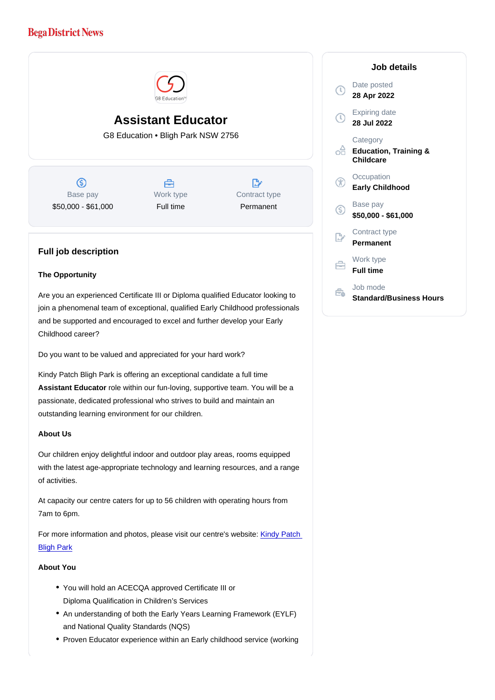# Assistant Educator G8 Education • Bligh Park NSW 2756

Base pay \$50,000 - \$61,000 Work type Full time

Contract type Permanent

## Full job description

#### The Opportunity

Are you an experienced Certificate III or Diploma qualified Educator looking to join a phenomenal team of exceptional, qualified Early Childhood professionals and be supported and encouraged to excel and further develop your Early Childhood career?

Do you want to be valued and appreciated for your hard work?

Kindy Patch Bligh Park is offering an exceptional candidate a full time Assistant Educator role within our fun-loving, supportive team. You will be a passionate, dedicated professional who strives to build and maintain an outstanding learning environment for our children.

#### About Us

Our children enjoy delightful indoor and outdoor play areas, rooms equipped with the latest age-appropriate technology and learning resources, and a range of activities.

At capacity our centre caters for up to 56 children with operating hours from 7am to 6pm.

For more information and photos, please visit our centre's website: [Kindy Patch](https://www.kindypatch.com.au/centres/childcare-bligh-park/)  [Bligh Park](https://www.kindypatch.com.au/centres/childcare-bligh-park/)

### About You

- You will hold an ACECQA approved Certificate III or Diploma Qualification in Children's Services
- An understanding of both the Early Years Learning Framework (EYLF) and National Quality Standards (NQS)
- Proven Educator experience within an Early childhood service (working

Job details

Date posted 28 Apr 2022

Expiring date 28 Jul 2022

**Category** Education, Training & Childcare

**Occupation** Early Childhood

Base pay \$50,000 - \$61,000

Contract type Permanent

Work type Full time

Job mode Standard/Business Hours